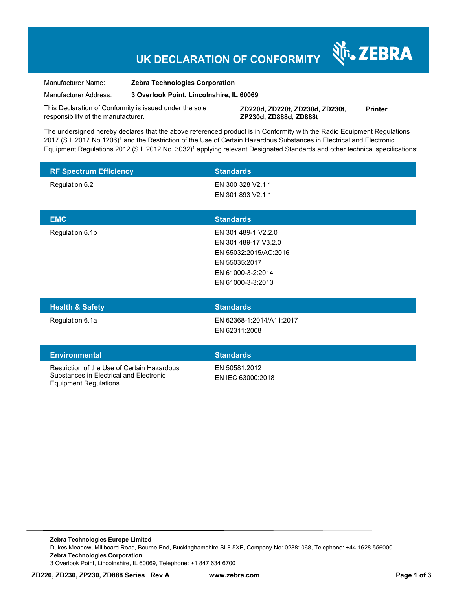# **UK DECLARATION OF CONFORMITY**

Manufacturer Name: **Zebra Technologies Corporation** 

Manufacturer Address: **3 Overlook Point, Lincolnshire, IL 60069** 

This Declaration of Conformity is issued under the sole responsibility of the manufacturer.

**ZD220d, ZD220t, ZD230d, ZD230t, ZP230d, ZD888d, ZD888t Printer** 

N<sub>i</sub>, ZEBRA

The undersigned hereby declares that the above referenced product is in Conformity with the Radio Equipment Regulations 2017 (S.I. 2017 No.1206)<sup>1</sup> and the Restriction of the Use of Certain Hazardous Substances in Electrical and Electronic Equipment Regulations 2012 (S.I. 2012 No. 3032)<sup>1</sup> applying relevant Designated Standards and other technical specifications:

| <b>RF Spectrum Efficiency</b> | <b>Standards</b>      |
|-------------------------------|-----------------------|
| Regulation 6.2                | EN 300 328 V2.1.1     |
|                               | EN 301 893 V2.1.1     |
|                               |                       |
| <b>EMC</b>                    | <b>Standards</b>      |
| Regulation 6.1b               | EN 301 489-1 V2.2.0   |
|                               | EN 301 489-17 V3.2.0  |
|                               | EN 55032:2015/AC:2016 |
|                               | EN 55035:2017         |
|                               | EN 61000-3-2:2014     |
|                               | EN 61000-3-3:2013     |
|                               |                       |
| 11.111.00211                  | <b>ALCOHOL:</b>       |

| <b>Health &amp; Safety</b>                                                             | <b>Standards</b>                          |
|----------------------------------------------------------------------------------------|-------------------------------------------|
| Regulation 6.1a                                                                        | EN 62368-1:2014/A11:2017<br>EN 62311:2008 |
| <b>Environmental</b>                                                                   | <b>Standards</b>                          |
| Restriction of the Use of Certain Hazardous<br>Substances in Electrical and Electronic | EN 50581:2012<br>EN IEC 63000:2018        |

Equipment Regulations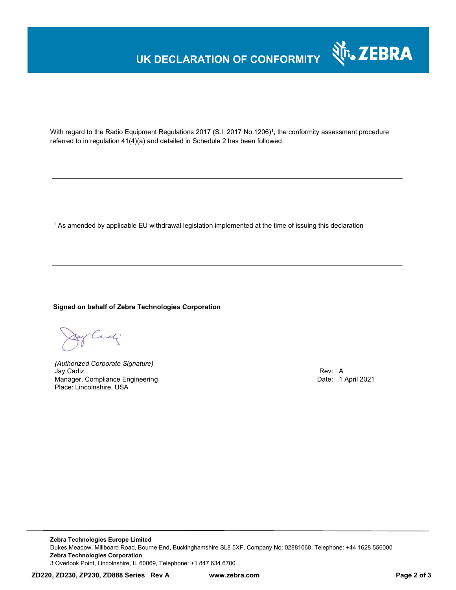# **UK DECLARATION OF CONFORMITY**



With regard to the Radio Equipment Regulations 2017 (S.I. 2017 No.1206)<sup>1</sup>, the conformity assessment procedure referred to in regulation 41(4)(a) and detailed in Schedule 2 has been followed.

 $^{\rm 1}$  As amended by applicable EU withdrawal legislation implemented at the time of issuing this declaration

### **Signed on behalf of Zebra Technologies Corporation**

of Cachi

*(Authorized Corporate Signature)* Jay Cadiz Rev: A Manager, Compliance Engineering **Date: 1 April 2021 Date: 1 April 2021** Place: Lincolnshire, USA